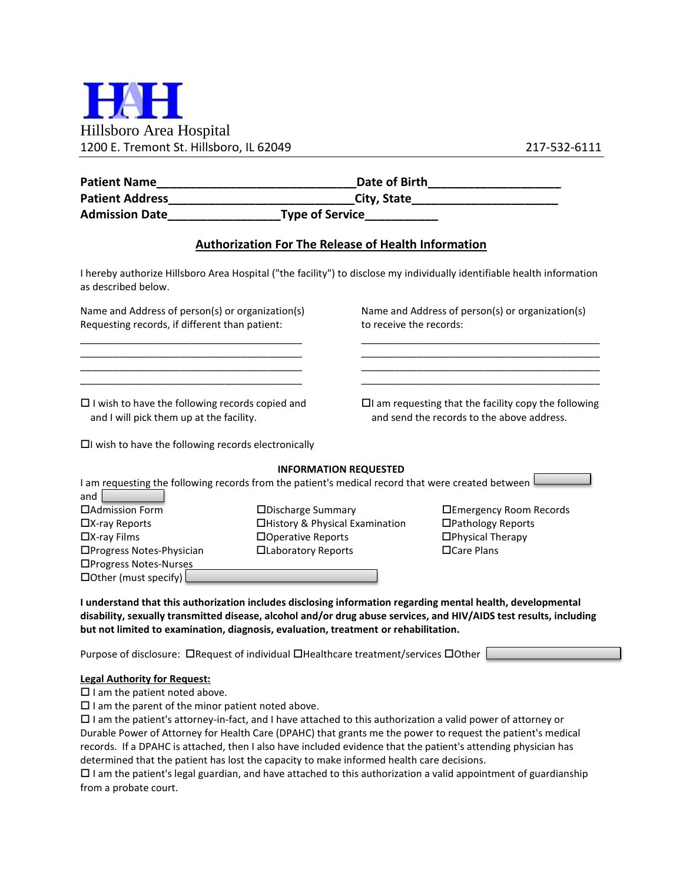

|                                                                                                                                                                                    |                                                            |                                                                             | Date of Birth_______________________                                                                                    |  |
|------------------------------------------------------------------------------------------------------------------------------------------------------------------------------------|------------------------------------------------------------|-----------------------------------------------------------------------------|-------------------------------------------------------------------------------------------------------------------------|--|
| <b>Patient Address</b>                                                                                                                                                             |                                                            |                                                                             |                                                                                                                         |  |
| <b>Admission Date</b>                                                                                                                                                              |                                                            |                                                                             |                                                                                                                         |  |
|                                                                                                                                                                                    | <b>Authorization For The Release of Health Information</b> |                                                                             |                                                                                                                         |  |
| as described below.                                                                                                                                                                |                                                            |                                                                             | I hereby authorize Hillsboro Area Hospital ("the facility") to disclose my individually identifiable health information |  |
| Name and Address of person(s) or organization(s)<br>Requesting records, if different than patient:                                                                                 |                                                            | Name and Address of person(s) or organization(s)<br>to receive the records: |                                                                                                                         |  |
| <u> 1989 - Johann Barbara, martin amerikan basar dan berasal dalam berasal dalam basar dalam basar dalam basar da</u><br>$\square$ I wish to have the following records copied and |                                                            |                                                                             | $\Box$ I am requesting that the facility copy the following                                                             |  |
| and I will pick them up at the facility.<br>$\Box$ I wish to have the following records electronically                                                                             |                                                            |                                                                             | and send the records to the above address.                                                                              |  |
|                                                                                                                                                                                    |                                                            | <b>INFORMATION REQUESTED</b>                                                |                                                                                                                         |  |
| I am requesting the following records from the patient's medical record that were created between I<br>and                                                                         |                                                            |                                                                             |                                                                                                                         |  |
| □ Admission Form                                                                                                                                                                   | □Discharge Summary                                         |                                                                             | □Emergency Room Records                                                                                                 |  |
| □X-ray Reports                                                                                                                                                                     | □History & Physical Examination                            |                                                                             | □Pathology Reports                                                                                                      |  |
| $\Box$ X-ray Films                                                                                                                                                                 | □Operative Reports                                         |                                                                             | □Physical Therapy                                                                                                       |  |
| □Progress Notes-Physician                                                                                                                                                          | □Laboratory Reports                                        |                                                                             | □Care Plans                                                                                                             |  |
| □Progress Notes-Nurses                                                                                                                                                             |                                                            |                                                                             |                                                                                                                         |  |
| $\Box$ Other (must specify)                                                                                                                                                        |                                                            |                                                                             |                                                                                                                         |  |

**I understand that this authorization includes disclosing information regarding mental health, developmental disability, sexually transmitted disease, alcohol and/or drug abuse services, and HIV/AIDS test results, including but not limited to examination, diagnosis, evaluation, treatment or rehabilitation.**

Purpose of disclosure:  $\Box$ Request of individual  $\Box$ Healthcare treatment/services  $\Box$ Other  $\Box$ 

## **Legal Authority for Request:**

 $\square$  I am the patient noted above.

 $\square$  I am the parent of the minor patient noted above.

 $\Box$  I am the patient's attorney-in-fact, and I have attached to this authorization a valid power of attorney or Durable Power of Attorney for Health Care (DPAHC) that grants me the power to request the patient's medical records. If a DPAHC is attached, then I also have included evidence that the patient's attending physician has determined that the patient has lost the capacity to make informed health care decisions.

 $\Box$  I am the patient's legal guardian, and have attached to this authorization a valid appointment of guardianship from a probate court.